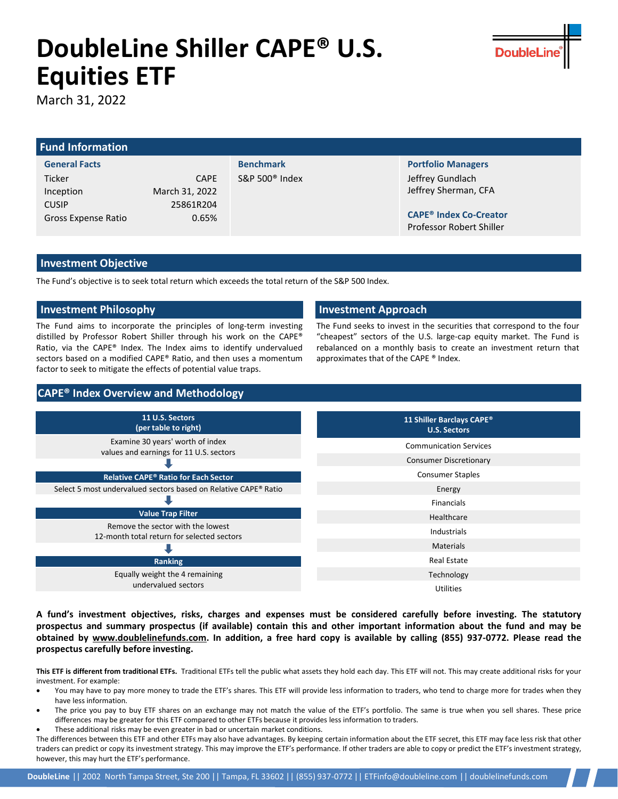# **DoubleLine Shiller CAPE® U.S. Equities ETF**

March 31, 2022

## **Fund Information**

**General Facts** Ticker CAPE Inception March 31, 2022 CUSIP 25861R204 Gross Expense Ratio **0.65%** 

**Benchmark** S&P 500® Index

**Portfolio Managers** Jeffrey Gundlach Jeffrey Sherman, CFA

**CAPE® Index Co-Creator** Professor Robert Shiller

### **Investment Objective**

The Fund's objective is to seek total return which exceeds the total return of the S&P 500 Index.

### **Investment Philosophy Investment Approach**

The Fund aims to incorporate the principles of long-term investing distilled by Professor Robert Shiller through his work on the CAPE® Ratio, via the CAPE® Index. The Index aims to identify undervalued sectors based on a modified CAPE® Ratio, and then uses a momentum factor to seek to mitigate the effects of potential value traps.

The Fund seeks to invest in the securities that correspond to the four "cheapest" sectors of the U.S. large-cap equity market. The Fund is rebalanced on a monthly basis to create an investment return that approximates that of the CAPE ® Index.

## **CAPE® Index Overview and Methodology**

| 11 U.S. Sectors<br>(per table to right)                                         | 11 Shiller Barclays CAPE <sup>®</sup><br><b>U.S. Sectors</b> |
|---------------------------------------------------------------------------------|--------------------------------------------------------------|
| Examine 30 years' worth of index<br>values and earnings for 11 U.S. sectors     | <b>Communication Services</b>                                |
|                                                                                 | <b>Consumer Discretionary</b>                                |
| Relative CAPE® Ratio for Each Sector                                            | <b>Consumer Staples</b>                                      |
| Select 5 most undervalued sectors based on Relative CAPE® Ratio                 | Energy                                                       |
|                                                                                 | Financials                                                   |
| <b>Value Trap Filter</b>                                                        | Healthcare                                                   |
| Remove the sector with the lowest<br>12-month total return for selected sectors | Industrials                                                  |
|                                                                                 | <b>Materials</b>                                             |
| Ranking                                                                         | <b>Real Estate</b>                                           |
| Equally weight the 4 remaining                                                  | Technology                                                   |
| undervalued sectors                                                             | Utilities                                                    |

A fund's investment objectives, risks, charges and expenses must be considered carefully before investing. The statutory prospectus and summary prospectus (if available) contain this and other important information about the fund and may be obtained by www.doublelinefunds.com. In addition, a free hard copy is available by calling (855) 937-0772. Please read the **prospectus carefully before investing.**

**This ETF is different from traditional ETFs.** Traditional ETFs tell the public what assets they hold each day. This ETF will not. This may create additional risks for your investment. For example:

- You may have to pay more money to trade the ETF's shares. This ETF will provide less information to traders, who tend to charge more for trades when they have less information.
- The price you pay to buy ETF shares on an exchange may not match the value of the ETF's portfolio. The same is true when you sell shares. These price differences may be greater for this ETF compared to other ETFs because it provides less information to traders.
- These additional risks may be even greater in bad or uncertain market conditions.

The differences between this ETF and other ETFs may also have advantages. By keeping certain information about the ETF secret, this ETF may face less risk that other traders can predict or copy its investment strategy. This may improve the ETF's performance. If other traders are able to copy or predict the ETF's investment strategy, however, this may hurt the ETF's performance.